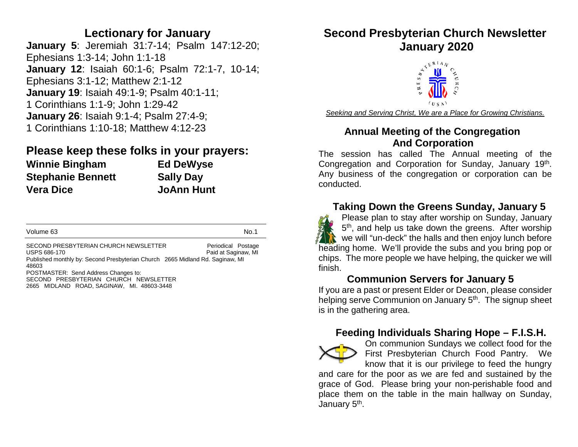## **Lectionary for January**

**January 5**: Jeremiah 31:7-14; Psalm 147:12-20; Ephesians 1:3-14; John 1:1-18 **January 12**: Isaiah 60:1-6; Psalm 72:1-7, 10-14; Ephesians 3:1-12; Matthew 2:1-12 **January 19**: Isaiah 49:1-9; Psalm 40:1-11; 1 Corinthians 1:1-9; John 1:29-42 **January 26**: Isaiah 9:1-4; Psalm 27:4-9; 1 Corinthians 1:10-18; Matthew 4:12-23

# **Please keep these folks in your prayers: Winnie Bingham Ed DeWyse Stephanie Bennett Sally Day Vera Dice JoAnn Hunt**

| Volume 63                                                                                                                                       | No.1                                      |
|-------------------------------------------------------------------------------------------------------------------------------------------------|-------------------------------------------|
| SECOND PRESBYTERIAN CHURCH NEWSLETTER<br>USPS 686-170<br>Published monthly by: Second Presbyterian Church 2665 Midland Rd. Saginaw, MI<br>48603 | Periodical Postage<br>Paid at Saginaw, MI |
| POSTMASTER: Send Address Changes to:<br>SECOND PRESBYTERIAN CHURCH NEWSLETTER<br>2665 MIDLAND ROAD, SAGINAW, MI. 48603-3448                     |                                           |

# **Second Presbyterian Church Newsletter**



*Seeking and Serving Christ, We are a Place for Growing Christians.*

## **Annual Meeting of the Congregation And Corporation**

The session has called The Annual meeting of the Congregation and Corporation for Sunday, January 19<sup>th</sup>. Any business of the congregation or corporation can be conducted.

# **Taking Down the Greens Sunday, January 5**



Please plan to stay after worship on Sunday, January 5<sup>th</sup>, and help us take down the greens. After worship  $\mathbf{R}$  we will "un-deck" the halls and then enjoy lunch before heading home. We'll provide the subs and you bring pop or chips. The more people we have helping, the quicker we will finish.

# **Communion Servers for January 5**

If you are a past or present Elder or Deacon, please consider helping serve Communion on January 5<sup>th</sup>. The signup sheet is in the gathering area.

## **Feeding Individuals Sharing Hope – F.I.S.H.**



On communion Sundays we collect food for the First Presbyterian Church Food Pantry. We know that it is our privilege to feed the hungry

and care for the poor as we are fed and sustained by the grace of God. Please bring your non-perishable food and place them on the table in the main hallway on Sunday, January 5<sup>th</sup>.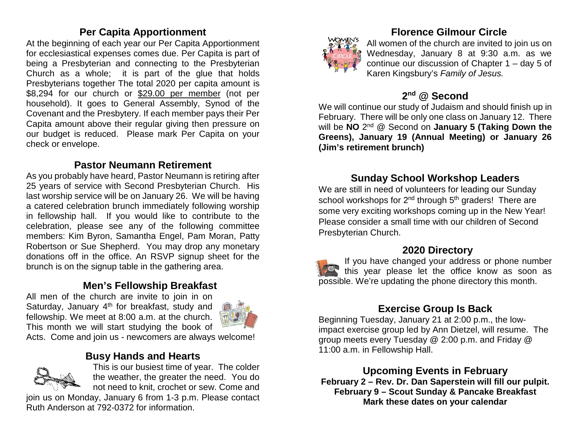### **Per Capita Apportionment**

At the beginning of each year our Per Capita Apportionment for ecclesiastical expenses comes due. Per Capita is part of being a Presbyterian and connecting to the Presbyterian Church as a whole; it is part of the glue that holds Presbyterians together The total 2020 per capita amount is \$8,294 for our church or \$29.00 per member (not per household). It goes to General Assembly, Synod of the Covenant and the Presbytery. If each member pays their Per Capita amount above their regular giving then pressure on our budget is reduced. Please mark Per Capita on your check or envelope.

### **Pastor Neumann Retirement**

As you probably have heard, Pastor Neumann is retiring after 25 years of service with Second Presbyterian Church. His last worship service will be on January 26. We will be having a catered celebration brunch immediately following worship in fellowship hall. If you would like to contribute to the celebration, please see any of the following committee members: Kim Byron, Samantha Engel, Pam Moran, Patty Robertson or Sue Shepherd. You may drop any monetary donations off in the office. An RSVP signup sheet for the brunch is on the signup table in the gathering area.

## **Men's Fellowship Breakfast**

All men of the church are invite to join in on Saturday, January  $4<sup>th</sup>$  for breakfast, study and fellowship. We meet at 8:00 a.m. at the church. This month we will start studying the book of



Acts. Come and join us - newcomers are always welcome!

#### **Busy Hands and Hearts**



This is our busiest time of year. The colder the weather, the greater the need. You do not need to knit, crochet or sew. Come and

join us on Monday, January 6 from 1-3 p.m. Please contact Ruth Anderson at 792-0372 for information.



## **Florence Gilmour Circle**

All women of the church are invited to join us on Wednesday, January 8 at 9:30 a.m. as we continue our discussion of Chapter 1 – day 5 of Karen Kingsbury's *Family of Jesus.*

## **2nd @ Second**

We will continue our study of Judaism and should finish up in February. There will be only one class on January 12. There will be **NO** 2nd @ Second on **January 5 (Taking Down the Greens), January 19 (Annual Meeting) or January 26 (Jim's retirement brunch)**

## **Sunday School Workshop Leaders**

We are still in need of volunteers for leading our Sunday school workshops for  $2^{nd}$  through  $5^{th}$  graders! There are some very exciting workshops coming up in the New Year! Please consider a small time with our children of Second Presbyterian Church.

#### **2020 Directory**

If you have changed your address or phone number this year please let the office know as soon as possible. We're updating the phone directory this month.

# **Exercise Group Is Back**

Beginning Tuesday, January 21 at 2:00 p.m., the lowimpact exercise group led by Ann Dietzel, will resume. The group meets every Tuesday @ 2:00 p.m. and Friday @ 11:00 a.m. in Fellowship Hall.

**Upcoming Events in February**

**February 2 – Rev. Dr. Dan Saperstein will fill our pulpit. February 9 – Scout Sunday & Pancake Breakfast Mark these dates on your calendar**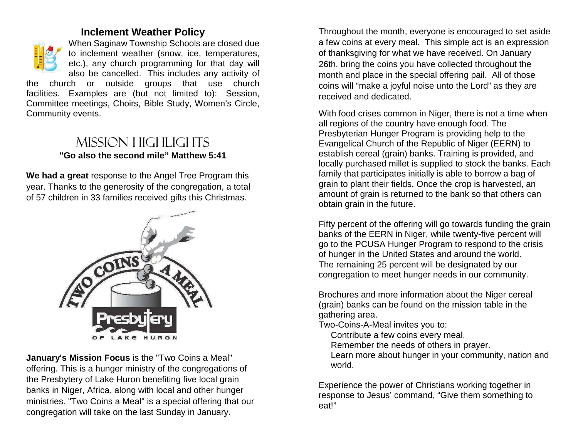#### **Inclement Weather Policy**



When Saginaw Township Schools are closed due to inclement weather (snow, ice, temperatures, etc.), any church programming for that day will also be cancelled. This includes any activity of

the church or outside groups that use church facilities. Examples are (but not limited to): Session, Committee meetings, Choirs, Bible Study, Women's Circle, Community events.

# Mission highlights **"Go also the second mile" Matthew 5:41**

**We had a great** response to the Angel Tree Program this year. Thanks to the generosity of the congregation, a total of 57 children in 33 families received gifts this Christmas.



**January's Mission Focus** is the "Two Coins a Meal" offering. This is a hunger ministry of the congregations of the Presbytery of Lake Huron benefiting five local grain banks in Niger, Africa, along with local and other hunger ministries. "Two Coins a Meal" is a special offering that our congregation will take on the last Sunday in January.

Throughout the month, everyone is encouraged to set aside a few coins at every meal. This simple act is an expression of thanksgiving for what we have received. On January 26th, bring the coins you have collected throughout the month and place in the special offering pail. All of those coins will "make a joyful noise unto the Lord" as they are received and dedicated.

With food crises common in Niger, there is not a time when all regions of the country have enough food. The Presbyterian Hunger Program is providing help to the Evangelical Church of the Republic of Niger (EERN) to establish cereal (grain) banks. Training is provided, and locally purchased millet is supplied to stock the banks. Each family that participates initially is able to borrow a bag of grain to plant their fields. Once the crop is harvested, an amount of grain is returned to the bank so that others can obtain grain in the future.

Fifty percent of the offering will go towards funding the grain banks of the EERN in Niger, while twenty-five percent will go to the PCUSA Hunger Program to respond to the crisis of hunger in the United States and around the world. The remaining 25 percent will be designated by our congregation to meet hunger needs in our community.

Brochures and more information about the Niger cereal (grain) banks can be found on the mission table in the gathering area.

Two-Coins-A-Meal invites you to:

Contribute a few coins every meal.

Remember the needs of others in prayer.

Learn more about hunger in your community, nation and world.

Experience the power of Christians working together in response to Jesus' command, "Give them something to eat!"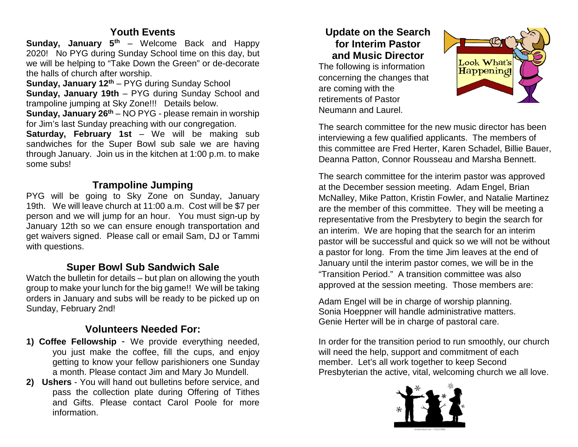### **Youth Events**

**Sunday, January 5<sup>th</sup>** – Welcome Back and Happy 2020! No PYG during Sunday School time on this day, but we will be helping to "Take Down the Green" or de-decorate the halls of church after worship.

**Sunday, January 12th** – PYG during Sunday School **Sunday, January 19th** – PYG during Sunday School and trampoline jumping at Sky Zone!!! Details below.

**Sunday, January 26th** – NO PYG - please remain in worship for Jim's last Sunday preaching with our congregation.

**Saturday, February 1st** – We will be making sub sandwiches for the Super Bowl sub sale we are having through January. Join us in the kitchen at 1:00 p.m. to make some subs!

# **Trampoline Jumping**

PYG will be going to Sky Zone on Sunday, January 19th. We will leave church at 11:00 a.m. Cost will be \$7 per person and we will jump for an hour. You must sign-up by January 12th so we can ensure enough transportation and get waivers signed. Please call or email Sam, DJ or Tammi with questions.

# **Super Bowl Sub Sandwich Sale**

Watch the bulletin for details – but plan on allowing the youth group to make your lunch for the big game!! We will be taking orders in January and subs will be ready to be picked up on Sunday, February 2nd!

# **Volunteers Needed For:**

- **1) Coffee Fellowship** We provide everything needed, you just make the coffee, fill the cups, and enjoy getting to know your fellow parishioners one Sunday a month. Please contact Jim and Mary Jo Mundell.
- **2) Ushers**  You will hand out bulletins before service, and pass the collection plate during Offering of Tithes and Gifts. Please contact Carol Poole for more information.

## **Update on the Search for Interim Pastor and Music Director**

The following is information concerning the changes that are coming with the retirements of Pastor Neumann and Laurel.



The search committee for the new music director has been interviewing a few qualified applicants. The members of this committee are Fred Herter, Karen Schadel, Billie Bauer, Deanna Patton, Connor Rousseau and Marsha Bennett.

The search committee for the interim pastor was approved at the December session meeting. Adam Engel, Brian McNalley, Mike Patton, Kristin Fowler, and Natalie Martinez are the member of this committee. They will be meeting a representative from the Presbytery to begin the search for an interim. We are hoping that the search for an interim pastor will be successful and quick so we will not be without a pastor for long. From the time Jim leaves at the end of January until the interim pastor comes, we will be in the "Transition Period." A transition committee was also approved at the session meeting. Those members are:

Adam Engel will be in charge of worship planning. Sonia Hoeppner will handle administrative matters. Genie Herter will be in charge of pastoral care.

In order for the transition period to run smoothly, our church will need the help, support and commitment of each member. Let's all work together to keep Second Presbyterian the active, vital, welcoming church we all love.